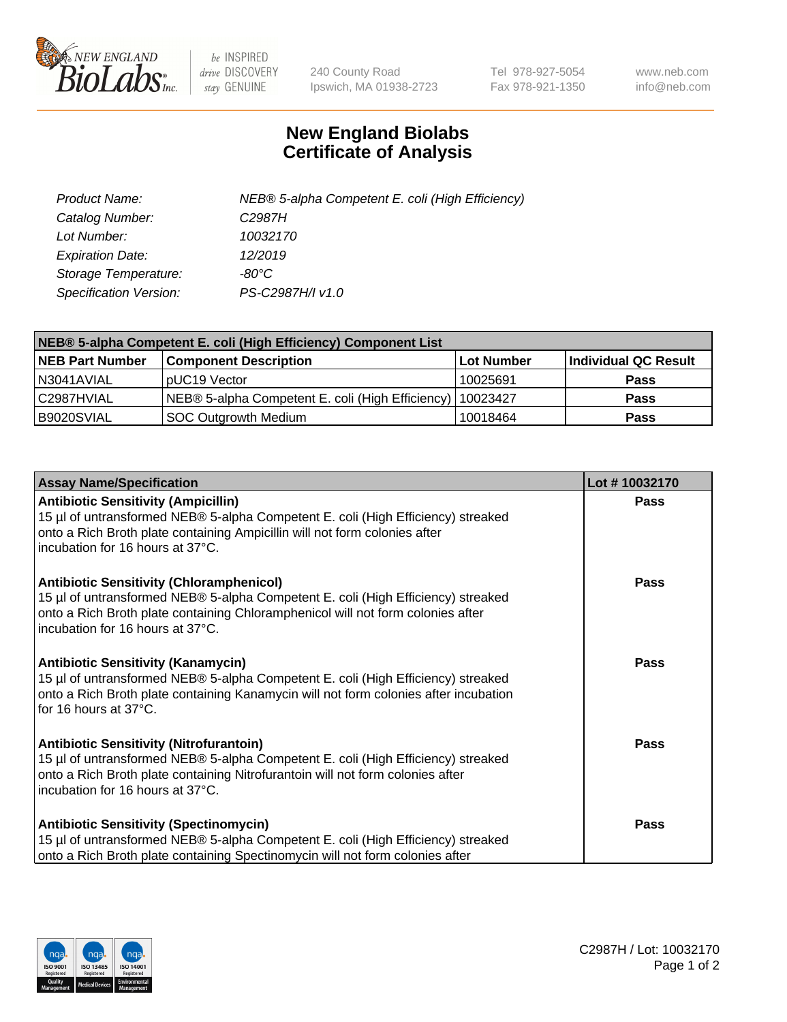

 $be$  INSPIRED drive DISCOVERY stay GENUINE

240 County Road Ipswich, MA 01938-2723 Tel 978-927-5054 Fax 978-921-1350 www.neb.com info@neb.com

## **New England Biolabs Certificate of Analysis**

| Product Name:           | NEB® 5-alpha Competent E. coli (High Efficiency) |
|-------------------------|--------------------------------------------------|
| Catalog Number:         | C <sub>2987</sub> H                              |
| Lot Number:             | 10032170                                         |
| <b>Expiration Date:</b> | 12/2019                                          |
| Storage Temperature:    | -80°C                                            |
| Specification Version:  | PS-C2987H/I v1.0                                 |

| NEB® 5-alpha Competent E. coli (High Efficiency) Component List |                                                  |            |                      |  |
|-----------------------------------------------------------------|--------------------------------------------------|------------|----------------------|--|
| <b>NEB Part Number</b>                                          | <b>Component Description</b>                     | Lot Number | Individual QC Result |  |
| N3041AVIAL                                                      | pUC19 Vector                                     | 10025691   | <b>Pass</b>          |  |
| C2987HVIAL                                                      | NEB® 5-alpha Competent E. coli (High Efficiency) | 10023427   | <b>Pass</b>          |  |
| B9020SVIAL                                                      | <b>SOC Outgrowth Medium</b>                      | 10018464   | <b>Pass</b>          |  |

| <b>Assay Name/Specification</b>                                                                                                                                                                                                                              | Lot #10032170 |
|--------------------------------------------------------------------------------------------------------------------------------------------------------------------------------------------------------------------------------------------------------------|---------------|
| <b>Antibiotic Sensitivity (Ampicillin)</b><br>15 µl of untransformed NEB® 5-alpha Competent E. coli (High Efficiency) streaked<br>onto a Rich Broth plate containing Ampicillin will not form colonies after<br>incubation for 16 hours at 37°C.             | <b>Pass</b>   |
| <b>Antibiotic Sensitivity (Chloramphenicol)</b><br>15 µl of untransformed NEB® 5-alpha Competent E. coli (High Efficiency) streaked<br>onto a Rich Broth plate containing Chloramphenicol will not form colonies after<br>l incubation for 16 hours at 37°C. | <b>Pass</b>   |
| <b>Antibiotic Sensitivity (Kanamycin)</b><br>15 µl of untransformed NEB® 5-alpha Competent E. coli (High Efficiency) streaked<br>onto a Rich Broth plate containing Kanamycin will not form colonies after incubation<br>for 16 hours at 37°C.               | Pass          |
| <b>Antibiotic Sensitivity (Nitrofurantoin)</b><br>15 µl of untransformed NEB® 5-alpha Competent E. coli (High Efficiency) streaked<br>onto a Rich Broth plate containing Nitrofurantoin will not form colonies after<br>incubation for 16 hours at 37°C.     | <b>Pass</b>   |
| <b>Antibiotic Sensitivity (Spectinomycin)</b><br>15 µl of untransformed NEB® 5-alpha Competent E. coli (High Efficiency) streaked<br>onto a Rich Broth plate containing Spectinomycin will not form colonies after                                           | <b>Pass</b>   |